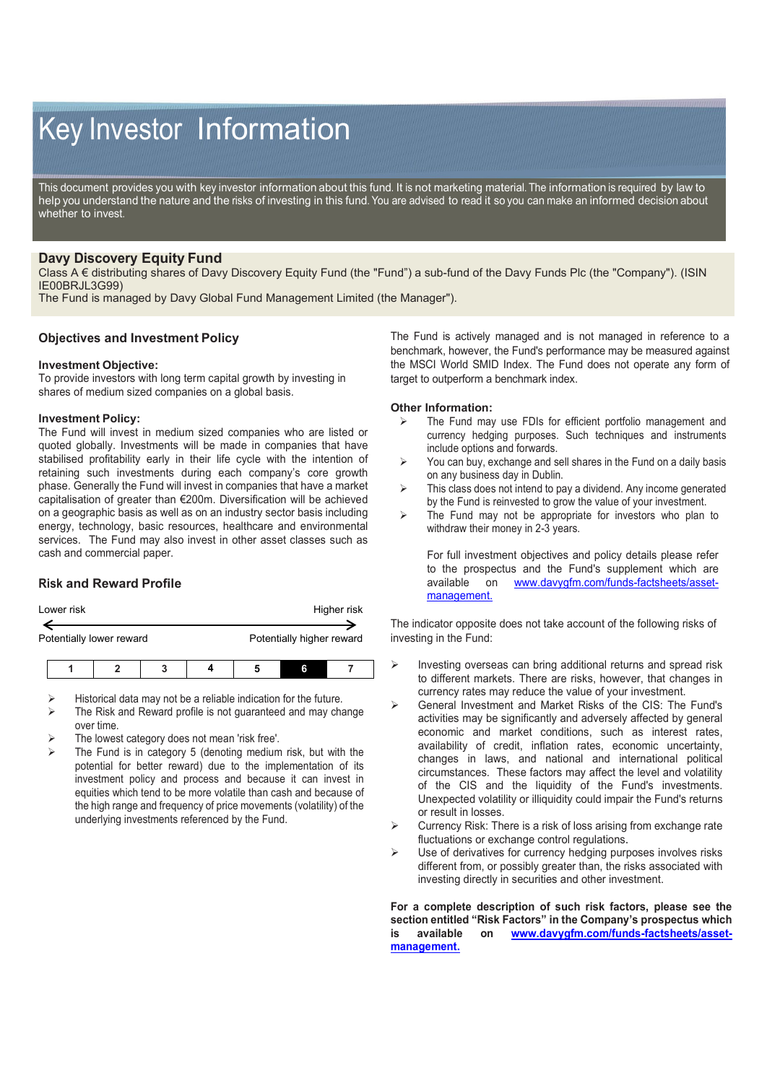# Key Investor Information

This document provides you with key investor information about this fund. It is not marketing material. The information is required by law to help you understand the nature and the risks of investing in this fund. You are advised to read it so you can make an informed decision about whether to invest.

# **Davy Discovery Equity Fund**

Class A € distributing shares of Davy Discovery Equity Fund (the "Fund") a sub-fund of the Davy Funds Plc (the "Company"). (ISIN IE00BRJL3G99)

The Fund is managed by Davy Global Fund Management Limited (the Manager").

## **Objectives and Investment Policy**

#### **Investment Objective:**

To provide investors with long term capital growth by investing in shares of medium sized companies on a global basis.

#### **Investment Policy:**

The Fund will invest in medium sized companies who are listed or quoted globally. Investments will be made in companies that have stabilised profitability early in their life cycle with the intention of retaining such investments during each company's core growth phase. Generally the Fund will invest in companies that have a market capitalisation of greater than €200m. Diversification will be achieved on a geographic basis as well as on an industry sector basis including energy, technology, basic resources, healthcare and environmental services. The Fund may also invest in other asset classes such as cash and commercial paper.

# **Risk and Reward Profile**

| Lower risk | Higher risk |
|------------|-------------|
|            |             |

Potentially lower reward **Potentially higher reward** 

- Historical data may not be a reliable indication for the future.
- The Risk and Reward profile is not guaranteed and may change over time.
- The lowest category does not mean 'risk free'.
- The Fund is in category 5 (denoting medium risk, but with the potential for better reward) due to the implementation of its investment policy and process and because it can invest in equities which tend to be more volatile than cash and because of the high range and frequency of price movements (volatility) of the underlying investments referenced by the Fund.

The Fund is actively managed and is not managed in reference to a benchmark, however, the Fund's performance may be measured against the MSCI World SMID Index. The Fund does not operate any form of target to outperform a benchmark index.

#### **Other Information:**

- $\triangleright$  The Fund may use FDIs for efficient portfolio management and currency hedging purposes. Such techniques and instruments include options and forwards.
- $\triangleright$  You can buy, exchange and sell shares in the Fund on a daily basis on any business day in Dublin.
- $\triangleright$  This class does not intend to pay a dividend. Any income generated by the Fund is reinvested to grow the value of your investment.
- $\triangleright$  The Fund may not be appropriate for investors who plan to withdraw their money in 2-3 years.

For full investment objectives and policy details please refer to the prospectus and the Fund's supplement which are available on www.davvafm.com/funds-factsheets/asset[www.davygfm.com/funds-factsheets/asset](http://www.davygfm.com/funds-factsheets/asset-management.)[management.](http://www.davygfm.com/funds-factsheets/asset-management.)

The indicator opposite does not take account of the following risks of investing in the Fund:

- $\triangleright$  Investing overseas can bring additional returns and spread risk to different markets. There are risks, however, that changes in currency rates may reduce the value of your investment.
- General Investment and Market Risks of the CIS: The Fund's activities may be significantly and adversely affected by general economic and market conditions, such as interest rates, availability of credit, inflation rates, economic uncertainty, changes in laws, and national and international political circumstances. These factors may affect the level and volatility of the CIS and the liquidity of the Fund's investments. Unexpected volatility or illiquidity could impair the Fund's returns or result in losses.
- $\triangleright$  Currency Risk: There is a risk of loss arising from exchange rate fluctuations or exchange control regulations.
- Use of derivatives for currency hedging purposes involves risks different from, or possibly greater than, the risks associated with investing directly in securities and other investment.

**For a complete description of such risk factors, please see the section entitled "Risk Factors" in the Company's prospectus which is available on [www.davygfm.com/funds-factsheets/asset](http://www.davygfm.com/funds-factsheets/asset-management.)[management.](http://www.davygfm.com/funds-factsheets/asset-management.)**